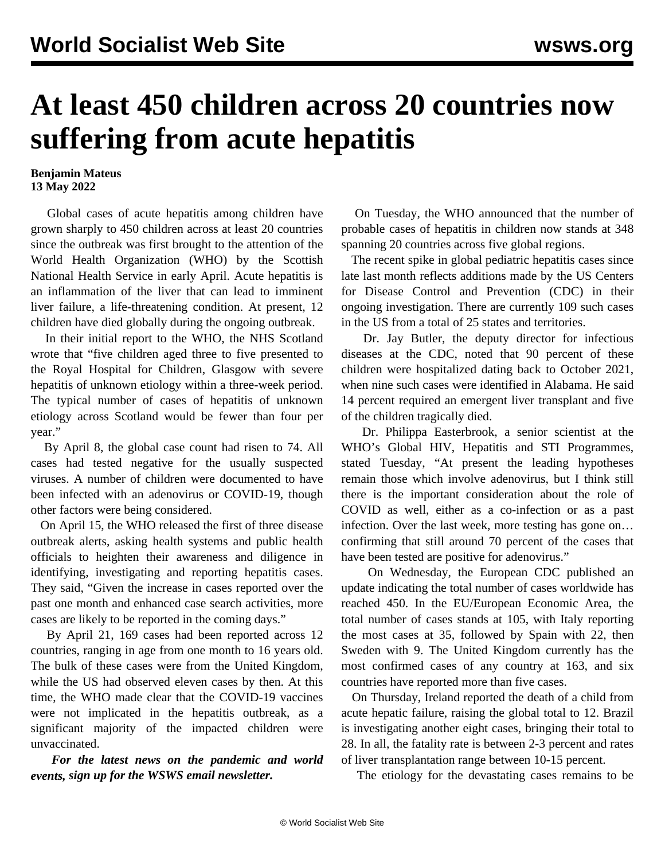## **At least 450 children across 20 countries now suffering from acute hepatitis**

## **Benjamin Mateus 13 May 2022**

 Global cases of acute hepatitis among children have grown sharply to 450 children across at least 20 countries since the outbreak was first brought to the attention of the World Health Organization (WHO) by the Scottish National Health Service in early April. Acute hepatitis is an inflammation of the liver that can lead to imminent liver failure, a life-threatening condition. At present, 12 children have died globally during the ongoing outbreak.

 In their initial report to the WHO, the NHS Scotland wrote that "five children aged three to five presented to the Royal Hospital for Children, Glasgow with severe hepatitis of unknown etiology within a three-week period. The typical number of cases of hepatitis of unknown etiology across Scotland would be fewer than four per year."

 By April 8, the global case count had risen to 74. All cases had tested negative for the usually suspected viruses. A number of children were documented to have been infected with an adenovirus or COVID-19, though other factors were being considered.

 On April 15, the WHO released the first of three disease outbreak alerts, asking health systems and public health officials to heighten their awareness and diligence in identifying, investigating and reporting hepatitis cases. They said, "Given the increase in cases reported over the past one month and enhanced case search activities, more cases are likely to be reported in the coming days."

 By April 21, 169 cases had been reported across 12 countries, ranging in age from one month to 16 years old. The bulk of these cases were from the United Kingdom, while the US had observed eleven cases by then. At this time, the WHO made clear that the COVID-19 vaccines were not implicated in the hepatitis outbreak, as a significant majority of the impacted children were unvaccinated.

 *For the latest news on the pandemic and world events, [sign up for the WSWS email newsletter.](/en/special/pages/newsletter.html)*

 On Tuesday, the WHO announced that the number of probable cases of hepatitis in children now stands at 348 spanning 20 countries across five global regions.

 The recent spike in global pediatric hepatitis cases since late last month reflects additions made by the US Centers for Disease Control and Prevention (CDC) in their ongoing investigation. There are currently 109 such cases in the US from a total of 25 states and territories.

 Dr. Jay Butler, the deputy director for infectious diseases at the CDC, noted that 90 percent of these children were hospitalized dating back to October 2021, when nine such cases were identified in Alabama. He said 14 percent required an emergent liver transplant and five of the children tragically died.

 Dr. Philippa Easterbrook, a senior scientist at the WHO's Global HIV, Hepatitis and STI Programmes, stated Tuesday, "At present the leading hypotheses remain those which involve adenovirus, but I think still there is the important consideration about the role of COVID as well, either as a co-infection or as a past infection. Over the last week, more testing has gone on… confirming that still around 70 percent of the cases that have been tested are positive for adenovirus."

 On Wednesday, the European CDC published an [update](https://www.ecdc.europa.eu/en/news-events/epidemiological-update-hepatitis-unknown-aetiology-children) indicating the total number of cases worldwide has reached 450. In the EU/European Economic Area, the total number of cases stands at 105, with Italy reporting the most cases at 35, followed by Spain with 22, then Sweden with 9. The United Kingdom currently has the most confirmed cases of any country at 163, and six countries have reported more than five cases.

 On Thursday, Ireland reported the death of a child from acute hepatic failure, raising the global total to 12. Brazil is investigating another eight cases, bringing their total to 28. In all, the fatality rate is between 2-3 percent and rates of liver transplantation range between 10-15 percent.

The etiology for the devastating cases remains to be